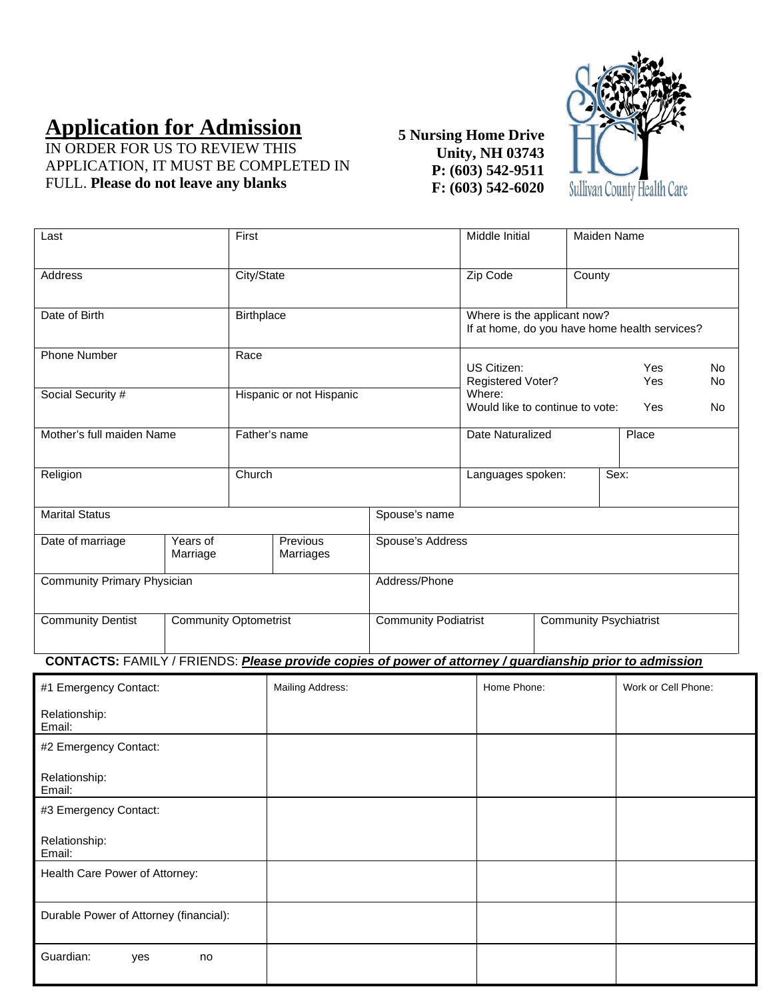# **Application for Admission**

IN ORDER FOR US TO REVIEW THIS APPLICATION, IT MUST BE COMPLETED IN FULL. **Please do not leave any blanks**

## **5 Nursing Home Drive Unity, NH 03743 P: (603) 542-9511 F: (603) 542-6020**



| Last                                                     |                      | First                    |                                                              |                                           | Middle Initial                                                               |            | Maiden Name |                 |  |
|----------------------------------------------------------|----------------------|--------------------------|--------------------------------------------------------------|-------------------------------------------|------------------------------------------------------------------------------|------------|-------------|-----------------|--|
| Address                                                  |                      | City/State               |                                                              | Zip Code                                  |                                                                              |            | County      |                 |  |
| Date of Birth                                            |                      | Birthplace               |                                                              |                                           | Where is the applicant now?<br>If at home, do you have home health services? |            |             |                 |  |
| <b>Phone Number</b>                                      |                      | Race                     |                                                              | US Citizen:<br>Registered Voter?          |                                                                              | Yes<br>Yes |             | <b>No</b><br>No |  |
| Social Security #                                        |                      | Hispanic or not Hispanic |                                                              | Where:<br>Would like to continue to vote: |                                                                              | Yes        |             | <b>No</b>       |  |
| Mother's full maiden Name                                |                      | Father's name            |                                                              | Date Naturalized                          |                                                                              | Place      |             |                 |  |
| Religion                                                 |                      | Church                   |                                                              | Languages spoken:                         |                                                                              | Sex:       |             |                 |  |
| <b>Marital Status</b>                                    |                      | Spouse's name            |                                                              |                                           |                                                                              |            |             |                 |  |
| Date of marriage                                         | Years of<br>Marriage | Previous<br>Marriages    |                                                              |                                           | Spouse's Address                                                             |            |             |                 |  |
| Community Primary Physician                              |                      |                          | Address/Phone                                                |                                           |                                                                              |            |             |                 |  |
| <b>Community Dentist</b><br><b>Community Optometrist</b> |                      |                          | <b>Community Podiatrist</b><br><b>Community Psychiatrist</b> |                                           |                                                                              |            |             |                 |  |

## **CONTACTS:** FAMILY / FRIENDS: *Please provide copies of power of attorney / guardianship prior to admission*

| #1 Emergency Contact:                  | Mailing Address: | Home Phone: | Work or Cell Phone: |
|----------------------------------------|------------------|-------------|---------------------|
| Relationship:<br>Email:                |                  |             |                     |
| #2 Emergency Contact:                  |                  |             |                     |
| Relationship:<br>Email:                |                  |             |                     |
| #3 Emergency Contact:                  |                  |             |                     |
| Relationship:<br>Email:                |                  |             |                     |
| Health Care Power of Attorney:         |                  |             |                     |
| Durable Power of Attorney (financial): |                  |             |                     |
| Guardian:<br>yes<br>no                 |                  |             |                     |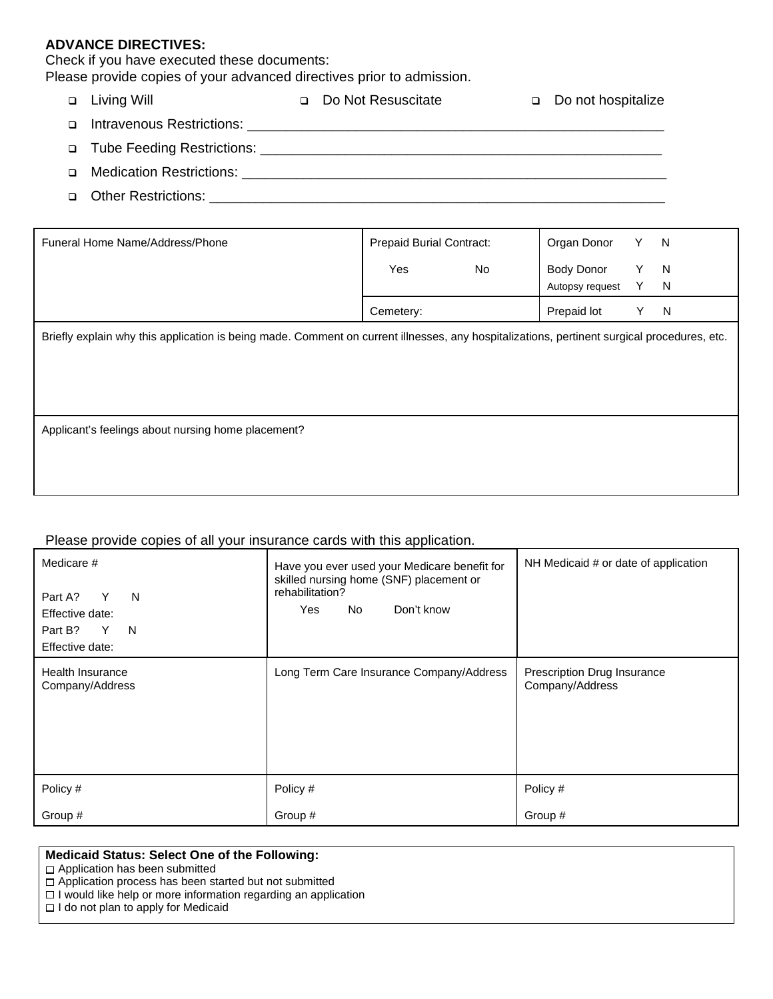#### **ADVANCE DIRECTIVES:**

Check if you have executed these documents:

Please provide copies of your advanced directives prior to admission.

|        | □ Living Will | Do Not Resuscitate | Do not hospitalize |
|--------|---------------|--------------------|--------------------|
| $\Box$ |               |                    |                    |
|        |               |                    |                    |
| $\Box$ |               |                    |                    |
| $\Box$ |               |                    |                    |

| Funeral Home Name/Address/Phone                                                                                                             | <b>Prepaid Burial Contract:</b> |    | Organ Donor     | Y. | N |  |  |
|---------------------------------------------------------------------------------------------------------------------------------------------|---------------------------------|----|-----------------|----|---|--|--|
|                                                                                                                                             | Yes                             | No | Body Donor      | Y  | N |  |  |
|                                                                                                                                             |                                 |    | Autopsy request | Y  | N |  |  |
|                                                                                                                                             | Cemetery:                       |    | Prepaid lot     | Y  | N |  |  |
| Briefly explain why this application is being made. Comment on current illnesses, any hospitalizations, pertinent surgical procedures, etc. |                                 |    |                 |    |   |  |  |
| Applicant's feelings about nursing home placement?                                                                                          |                                 |    |                 |    |   |  |  |

#### Please provide copies of all your insurance cards with this application.

| Medicare #<br>Y<br>N<br>Part A?<br>Effective date:<br>Part B?<br>N<br>Y<br>Effective date: | Have you ever used your Medicare benefit for<br>skilled nursing home (SNF) placement or<br>rehabilitation?<br>Don't know<br>Yes<br>No | NH Medicaid # or date of application           |
|--------------------------------------------------------------------------------------------|---------------------------------------------------------------------------------------------------------------------------------------|------------------------------------------------|
| <b>Health Insurance</b><br>Company/Address                                                 | Long Term Care Insurance Company/Address                                                                                              | Prescription Drug Insurance<br>Company/Address |
| Policy #                                                                                   | Policy #                                                                                                                              | Policy #                                       |
| Group #                                                                                    | Group #                                                                                                                               | Group #                                        |

#### **Medicaid Status: Select One of the Following:**

Application has been submitted

 $\Box$  Application process has been started but not submitted

 $\square$  I would like help or more information regarding an application

 $\Box$  I do not plan to apply for Medicaid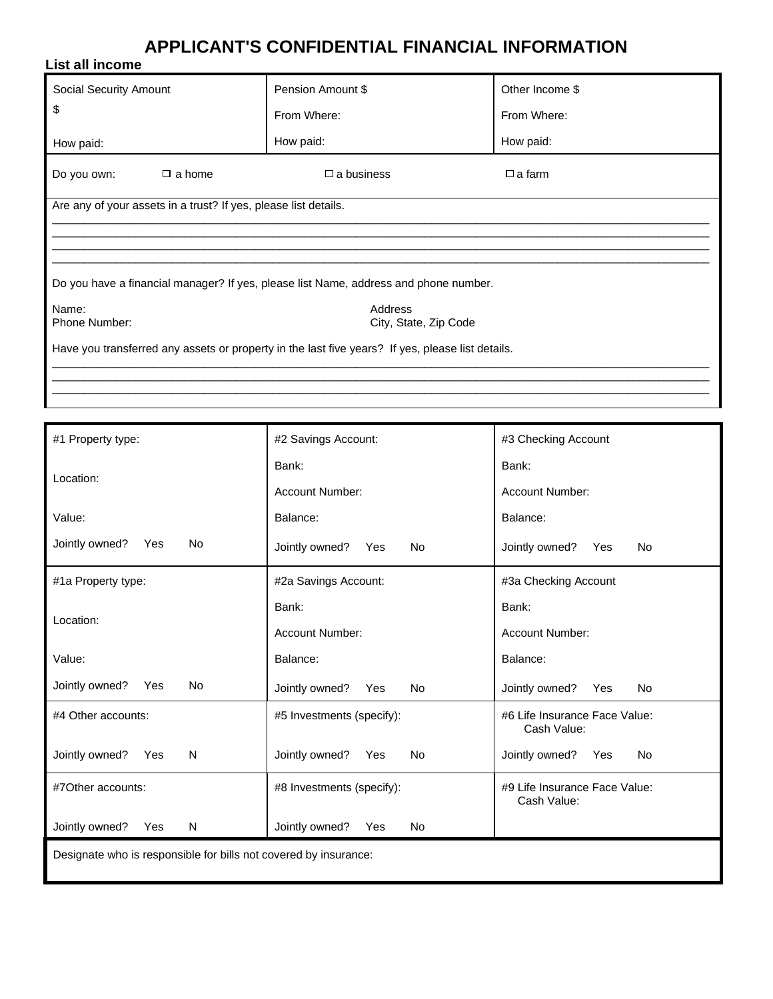## **APPLICANT'S CONFIDENTIAL FINANCIAL INFORMATION**

| List all income                                                                                  |                      |                 |  |  |  |  |
|--------------------------------------------------------------------------------------------------|----------------------|-----------------|--|--|--|--|
| Social Security Amount                                                                           | Pension Amount \$    | Other Income \$ |  |  |  |  |
| \$                                                                                               | From Where:          | From Where:     |  |  |  |  |
| How paid:                                                                                        | How paid:            | How paid:       |  |  |  |  |
| Do you own:<br>$\Box$ a home                                                                     | $\square$ a business | $\Box$ a farm   |  |  |  |  |
| Are any of your assets in a trust? If yes, please list details.                                  |                      |                 |  |  |  |  |
|                                                                                                  |                      |                 |  |  |  |  |
|                                                                                                  |                      |                 |  |  |  |  |
| Do you have a financial manager? If yes, please list Name, address and phone number.             |                      |                 |  |  |  |  |
| Address<br>Name:<br>Phone Number:<br>City, State, Zip Code                                       |                      |                 |  |  |  |  |
| Have you transferred any assets or property in the last five years? If yes, please list details. |                      |                 |  |  |  |  |

| #1 Property type:                                                | #2 Savings Account:                | #3 Checking Account                          |  |  |
|------------------------------------------------------------------|------------------------------------|----------------------------------------------|--|--|
| Location:                                                        | Bank:                              | Bank:                                        |  |  |
|                                                                  | <b>Account Number:</b>             | <b>Account Number:</b>                       |  |  |
| Value:                                                           | Balance:                           | Balance:                                     |  |  |
| Jointly owned?<br><b>No</b><br>Yes                               | Jointly owned?<br><b>No</b><br>Yes | Jointly owned?<br><b>No</b><br>Yes           |  |  |
| #1a Property type:                                               | #2a Savings Account:               | #3a Checking Account                         |  |  |
| Location:                                                        | Bank:                              | Bank:                                        |  |  |
|                                                                  | <b>Account Number:</b>             | <b>Account Number:</b>                       |  |  |
| Value:                                                           | Balance:                           | Balance:                                     |  |  |
| Jointly owned?<br><b>No</b><br>Yes                               | Jointly owned?<br><b>No</b><br>Yes | Jointly owned?<br>Yes<br><b>No</b>           |  |  |
| #4 Other accounts:                                               | #5 Investments (specify):          | #6 Life Insurance Face Value:<br>Cash Value: |  |  |
| Jointly owned?<br>N<br>Yes                                       | Jointly owned?<br><b>No</b><br>Yes | Jointly owned?<br><b>No</b><br>Yes           |  |  |
| #7Other accounts:                                                | #8 Investments (specify):          | #9 Life Insurance Face Value:<br>Cash Value: |  |  |
| Jointly owned?<br>N<br>Yes                                       | Jointly owned?<br>Yes<br><b>No</b> |                                              |  |  |
| Designate who is responsible for bills not covered by insurance: |                                    |                                              |  |  |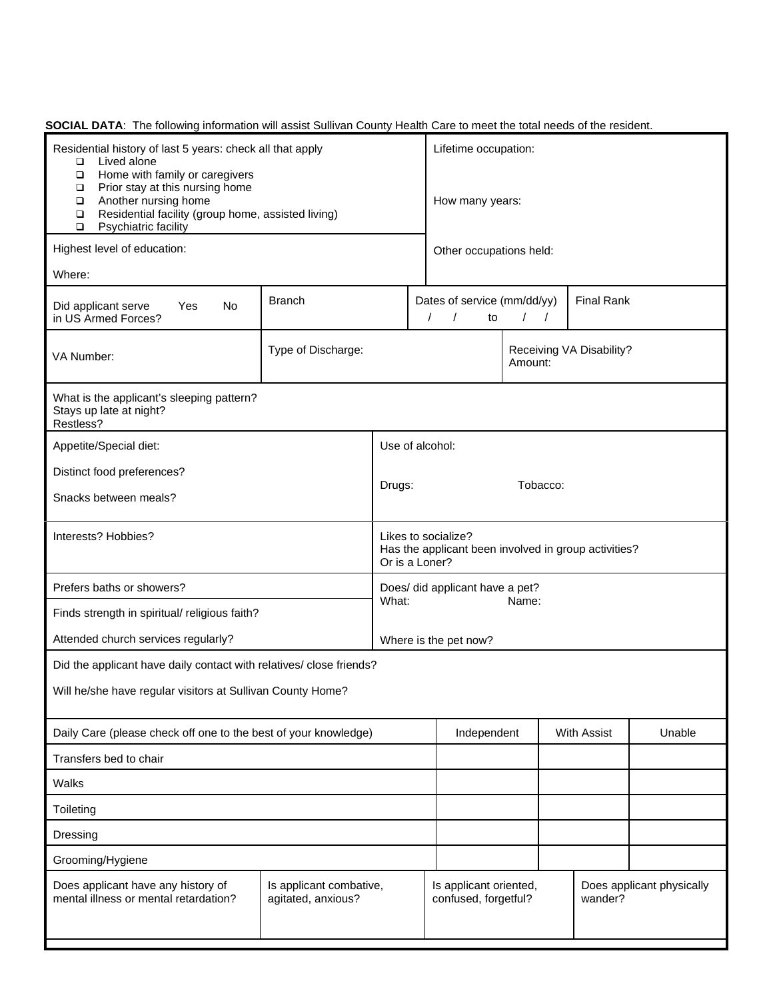| Residential history of last 5 years: check all that apply<br>Lived alone<br>$\Box$<br>Home with family or caregivers<br>$\Box$<br>Prior stay at this nursing home<br>$\Box$<br>Another nursing home<br>$\Box$<br>Residential facility (group home, assisted living)<br>$\Box$<br>Psychiatric facility<br>$\Box$ |                    |                    |                                                                                                            | Lifetime occupation:<br>How many years:        |                    |                          |                           |
|-----------------------------------------------------------------------------------------------------------------------------------------------------------------------------------------------------------------------------------------------------------------------------------------------------------------|--------------------|--------------------|------------------------------------------------------------------------------------------------------------|------------------------------------------------|--------------------|--------------------------|---------------------------|
| Highest level of education:                                                                                                                                                                                                                                                                                     |                    |                    |                                                                                                            | Other occupations held:                        |                    |                          |                           |
| Where:                                                                                                                                                                                                                                                                                                          |                    |                    |                                                                                                            |                                                |                    |                          |                           |
| Yes<br>Did applicant serve<br>No<br>in US Armed Forces?                                                                                                                                                                                                                                                         | <b>Branch</b>      |                    | <b>Final Rank</b><br>Dates of service (mm/dd/yy)<br>$\prime$<br>$\prime$<br>to<br>$\sqrt{2}$<br>$\sqrt{2}$ |                                                |                    |                          |                           |
| VA Number:                                                                                                                                                                                                                                                                                                      | Type of Discharge: |                    |                                                                                                            |                                                | Amount:            | Receiving VA Disability? |                           |
| What is the applicant's sleeping pattern?<br>Stays up late at night?<br>Restless?                                                                                                                                                                                                                               |                    |                    |                                                                                                            |                                                |                    |                          |                           |
| Appetite/Special diet:                                                                                                                                                                                                                                                                                          |                    | Use of alcohol:    |                                                                                                            |                                                |                    |                          |                           |
| Distinct food preferences?                                                                                                                                                                                                                                                                                      |                    |                    |                                                                                                            |                                                |                    |                          |                           |
| Snacks between meals?                                                                                                                                                                                                                                                                                           |                    | Tobacco:<br>Drugs: |                                                                                                            |                                                |                    |                          |                           |
| Interests? Hobbies?                                                                                                                                                                                                                                                                                             |                    |                    | Likes to socialize?<br>Has the applicant been involved in group activities?<br>Or is a Loner?              |                                                |                    |                          |                           |
| Prefers baths or showers?<br>What:                                                                                                                                                                                                                                                                              |                    |                    |                                                                                                            | Does/ did applicant have a pet?                |                    |                          |                           |
| Finds strength in spiritual/ religious faith?                                                                                                                                                                                                                                                                   |                    |                    |                                                                                                            |                                                | Name:              |                          |                           |
| Attended church services regularly?                                                                                                                                                                                                                                                                             |                    |                    |                                                                                                            | Where is the pet now?                          |                    |                          |                           |
| Did the applicant have daily contact with relatives/ close friends?                                                                                                                                                                                                                                             |                    |                    |                                                                                                            |                                                |                    |                          |                           |
| Will he/she have regular visitors at Sullivan County Home?                                                                                                                                                                                                                                                      |                    |                    |                                                                                                            |                                                |                    |                          |                           |
| Daily Care (please check off one to the best of your knowledge)                                                                                                                                                                                                                                                 |                    |                    |                                                                                                            | Independent                                    | <b>With Assist</b> |                          | Unable                    |
| Transfers bed to chair                                                                                                                                                                                                                                                                                          |                    |                    |                                                                                                            |                                                |                    |                          |                           |
| Walks                                                                                                                                                                                                                                                                                                           |                    |                    |                                                                                                            |                                                |                    |                          |                           |
| Toileting                                                                                                                                                                                                                                                                                                       |                    |                    |                                                                                                            |                                                |                    |                          |                           |
| Dressing                                                                                                                                                                                                                                                                                                        |                    |                    |                                                                                                            |                                                |                    |                          |                           |
| Grooming/Hygiene                                                                                                                                                                                                                                                                                                |                    |                    |                                                                                                            |                                                |                    |                          |                           |
| Does applicant have any history of<br>Is applicant combative,<br>mental illness or mental retardation?<br>agitated, anxious?                                                                                                                                                                                    |                    |                    |                                                                                                            | Is applicant oriented,<br>confused, forgetful? |                    | wander?                  | Does applicant physically |